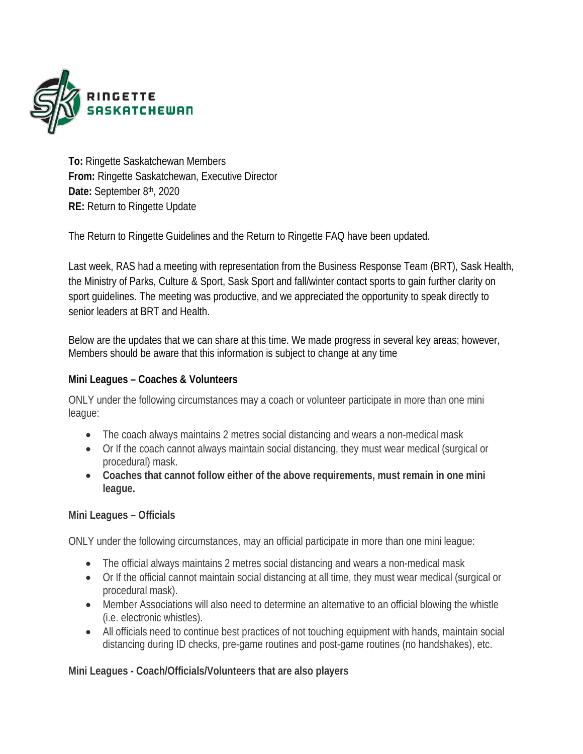

**To:** Ringette Saskatchewan Members **From:** Ringette Saskatchewan, Executive Director **Date:** September 8th, 2020 **RE:** Return to Ringette Update

The Return to Ringette Guidelines and the Return to Ringette FAQ have been updated.

Last week, RAS had a meeting with representation from the Business Response Team (BRT), Sask Health, the Ministry of Parks, Culture & Sport, Sask Sport and fall/winter contact sports to gain further clarity on sport guidelines. The meeting was productive, and we appreciated the opportunity to speak directly to senior leaders at BRT and Health.

Below are the updates that we can share at this time. We made progress in several key areas; however, Members should be aware that this information is subject to change at any time

## **Mini Leagues – Coaches & Volunteers**

ONLY under the following circumstances may a coach or volunteer participate in more than one mini league:

- The coach always maintains 2 metres social distancing and wears a non-medical mask
- Or If the coach cannot always maintain social distancing, they must wear medical (surgical or procedural) mask.
- **Coaches that cannot follow either of the above requirements, must remain in one mini league.**

## **Mini Leagues – Officials**

ONLY under the following circumstances, may an official participate in more than one mini league:

- The official always maintains 2 metres social distancing and wears a non-medical mask
- Or If the official cannot maintain social distancing at all time, they must wear medical (surgical or procedural mask).
- Member Associations will also need to determine an alternative to an official blowing the whistle (i.e. electronic whistles).
- All officials need to continue best practices of not touching equipment with hands, maintain social distancing during ID checks, pre-game routines and post-game routines (no handshakes), etc.

## **Mini Leagues - Coach/Officials/Volunteers that are also players**